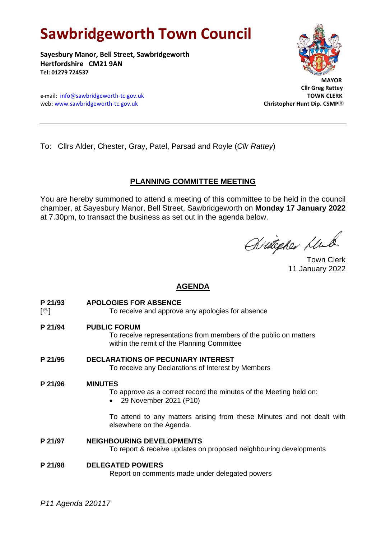# **Sawbridgeworth Town Council**

**Sayesbury Manor, Bell Street, Sawbridgeworth Hertfordshire CM21 9AN Tel: 01279 724537**



 **Cllr Greg Rattey**

e-mail: [info@sawbridgeworth-tc.gov.uk](mailto:info@sawbridgeworth-tc.gov.uk) **TOWN CLERK** web: www.sawbridgeworth-tc.gov.uk Christopher Huntip. CSMP<sup>R</sup>

To: Cllrs Alder, Chester, Gray, Patel, Parsad and Royle (*Cllr Rattey*)

### **PLANNING COMMITTEE MEETING**

You are hereby summoned to attend a meeting of this committee to be held in the council chamber, at Sayesbury Manor, Bell Street, Sawbridgeworth on **Monday 17 January 2022**  at 7.30pm, to transact the business as set out in the agenda below.

Avitepher Klub

Town Clerk 11 January 2022

### **AGENDA**

**P 21/93 APOLOGIES FOR ABSENCE**

[ $\sqrt[6]{ }$ ] To receive and approve any apologies for absence

**P 21/94 PUBLIC FORUM**

To receive representations from members of the public on matters within the remit of the Planning Committee

**P 21/95 DECLARATIONS OF PECUNIARY INTEREST**

To receive any Declarations of Interest by Members

### **P 21/96 MINUTES**

To approve as a correct record the minutes of the Meeting held on:

• 29 November 2021 (P10)

To attend to any matters arising from these Minutes and not dealt with elsewhere on the Agenda.

**P 21/97 NEIGHBOURING DEVELOPMENTS** 

To report & receive updates on proposed neighbouring developments

## **P 21/98 DELEGATED POWERS**

Report on comments made under delegated powers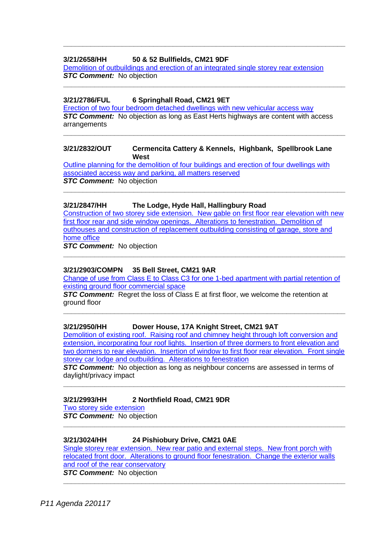### **3/21/2658/HH 50 & 52 Bullfields, CM21 9DF**

[Demolition of outbuildings and erection of an integrated single storey rear extension](https://publicaccess.eastherts.gov.uk/online-applications/applicationDetails.do?activeTab=documents&keyVal=R1DAEJGLHN300)  **STC Comment:** No objection

**\_\_\_\_\_\_\_\_\_\_\_\_\_\_\_\_\_\_\_\_\_\_\_\_\_\_\_\_\_\_\_\_\_\_\_\_\_\_\_\_\_\_\_\_\_\_\_\_\_\_\_\_\_\_\_\_\_\_\_\_\_\_\_\_\_\_\_\_\_\_\_\_**

**\_\_\_\_\_\_\_\_\_\_\_\_\_\_\_\_\_\_\_\_\_\_\_\_\_\_\_\_\_\_\_\_\_\_\_\_\_\_\_\_\_\_\_\_\_\_\_\_\_\_\_\_\_\_\_\_\_\_\_\_\_\_\_\_\_\_\_\_\_\_\_\_**

### **3/21/2786/FUL 6 Springhall Road, CM21 9ET**

[Erection of two four bedroom detached dwellings with new vehicular access way](https://publicaccess.eastherts.gov.uk/online-applications/applicationDetails.do?activeTab=documents&keyVal=R23AAFGLHW700) *STC Comment:* No objection as long as East Herts highways are content with access arrangements

**\_\_\_\_\_\_\_\_\_\_\_\_\_\_\_\_\_\_\_\_\_\_\_\_\_\_\_\_\_\_\_\_\_\_\_\_\_\_\_\_\_\_\_\_\_\_\_\_\_\_\_\_\_\_\_\_\_\_\_\_\_\_\_\_\_\_\_\_\_\_\_\_**

### **3/21/2832/OUT Cermencita Cattery & Kennels, Highbank, Spellbrook Lane West**

[Outline planning for the demolition of four buildings and erection of four dwellings with](https://publicaccess.eastherts.gov.uk/online-applications/applicationDetails.do?keyVal=R2CMYAGL00X00&activeTab=summary)  [associated access way and parking, all](https://publicaccess.eastherts.gov.uk/online-applications/applicationDetails.do?keyVal=R2CMYAGL00X00&activeTab=summary) matters reserved **STC Comment:** No objection

### **3/21/2847/HH The Lodge, Hyde Hall, Hallingbury Road**

[Construction of two storey side extension. New gable on first floor rear elevation with new](https://publicaccess.eastherts.gov.uk/online-applications/applicationDetails.do?activeTab=documents&keyVal=R2G900GLI0M00)  [first floor rear and side window openings. Alterations to fenestration. Demolition of](https://publicaccess.eastherts.gov.uk/online-applications/applicationDetails.do?activeTab=documents&keyVal=R2G900GLI0M00)  [outhouses and construction of replacement outbuilding consisting of garage, store and](https://publicaccess.eastherts.gov.uk/online-applications/applicationDetails.do?activeTab=documents&keyVal=R2G900GLI0M00)  [home office](https://publicaccess.eastherts.gov.uk/online-applications/applicationDetails.do?activeTab=documents&keyVal=R2G900GLI0M00)

**\_\_\_\_\_\_\_\_\_\_\_\_\_\_\_\_\_\_\_\_\_\_\_\_\_\_\_\_\_\_\_\_\_\_\_\_\_\_\_\_\_\_\_\_\_\_\_\_\_\_\_\_\_\_\_\_\_\_\_\_\_\_\_\_\_\_\_\_\_\_\_\_**

**\_\_\_\_\_\_\_\_\_\_\_\_\_\_\_\_\_\_\_\_\_\_\_\_\_\_\_\_\_\_\_\_\_\_\_\_\_\_\_\_\_\_\_\_\_\_\_\_\_\_\_\_\_\_\_\_\_\_\_\_\_\_\_\_\_\_\_\_\_\_\_\_**

**STC Comment:** No objection

### **3/21/2903/COMPN 35 Bell Street, CM21 9AR**

[Change of use from Class E to Class C3 for one 1-bed](https://publicaccess.eastherts.gov.uk/online-applications/applicationDetails.do?keyVal=R2RES3GL00X00&activeTab=summary) apartment with partial retention of [existing ground floor commercial space](https://publicaccess.eastherts.gov.uk/online-applications/applicationDetails.do?keyVal=R2RES3GL00X00&activeTab=summary)

**\_\_\_\_\_\_\_\_\_\_\_\_\_\_\_\_\_\_\_\_\_\_\_\_\_\_\_\_\_\_\_\_\_\_\_\_\_\_\_\_\_\_\_\_\_\_\_\_\_\_\_\_\_\_\_\_\_\_\_\_\_\_\_\_\_\_\_\_\_\_\_\_**

**STC Comment:** Regret the loss of Class E at first floor, we welcome the retention at ground floor

### **3/21/2950/HH Dower House, 17A Knight Street, CM21 9AT**

Demolition of existing roof. Raising roof and chimney height through loft conversion and [extension, incorporating four roof lights. Insertion of](https://publicaccess.eastherts.gov.uk/online-applications/applicationDetails.do?activeTab=documents&keyVal=R34BN8GLI8C00) three dormers to front elevation and [two dormers to rear elevation. Insertion of window to first floor rear elevation. Front single](https://publicaccess.eastherts.gov.uk/online-applications/applicationDetails.do?activeTab=documents&keyVal=R34BN8GLI8C00)  [storey car lodge and outbuilding. Alterations to fenestration](https://publicaccess.eastherts.gov.uk/online-applications/applicationDetails.do?activeTab=documents&keyVal=R34BN8GLI8C00)

**STC Comment:** No objection as long as neighbour concerns are assessed in terms of daylight/privacy impact

**\_\_\_\_\_\_\_\_\_\_\_\_\_\_\_\_\_\_\_\_\_\_\_\_\_\_\_\_\_\_\_\_\_\_\_\_\_\_\_\_\_\_\_\_\_\_\_\_\_\_\_\_\_\_\_\_\_\_\_\_\_\_\_\_\_\_\_\_\_\_\_\_**

**\_\_\_\_\_\_\_\_\_\_\_\_\_\_\_\_\_\_\_\_\_\_\_\_\_\_\_\_\_\_\_\_\_\_\_\_\_\_\_\_\_\_\_\_\_\_\_\_\_\_\_\_\_\_\_\_\_\_\_\_\_\_\_\_\_\_\_\_\_\_\_\_**

### **3/21/2993/HH 2 Northfield Road, CM21 9DR**

[Two storey side extension](https://publicaccess.eastherts.gov.uk/online-applications/applicationDetails.do?activeTab=documents&keyVal=R3FFO3GLIBU00)

**STC Comment:** No objection

### **3/21/3024/HH 24 Pishiobury Drive, CM21 0AE**

[Single storey rear extension. New rear patio and external steps. New front porch with](https://publicaccess.eastherts.gov.uk/online-applications/applicationDetails.do?activeTab=documents&keyVal=R3OOYCGLIEC00)  [relocated front door. Alterations to ground floor fenestration. Change the exterior walls](https://publicaccess.eastherts.gov.uk/online-applications/applicationDetails.do?activeTab=documents&keyVal=R3OOYCGLIEC00)  [and roof of the rear conservatory](https://publicaccess.eastherts.gov.uk/online-applications/applicationDetails.do?activeTab=documents&keyVal=R3OOYCGLIEC00) **STC Comment:** No objection

**\_\_\_\_\_\_\_\_\_\_\_\_\_\_\_\_\_\_\_\_\_\_\_\_\_\_\_\_\_\_\_\_\_\_\_\_\_\_\_\_\_\_\_\_\_\_\_\_\_\_\_\_\_\_\_\_\_\_\_\_\_\_\_\_\_\_\_\_\_\_\_\_**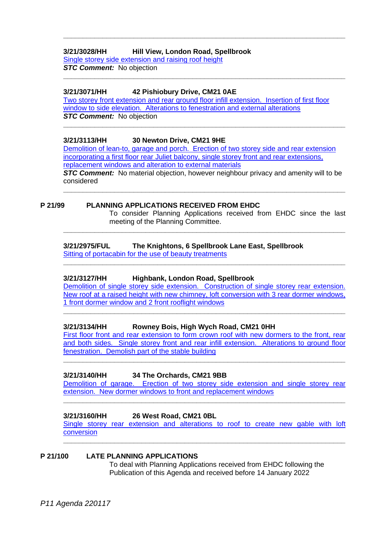### **3/21/3028/HH Hill View, London Road, Spellbrook**

Single storey side extension [and raising roof height](https://publicaccess.eastherts.gov.uk/online-applications/applicationDetails.do?activeTab=documents&keyVal=R3P0J8GLIEN00) *STC Comment:* No objection

### **3/21/3071/HH 42 Pishiobury Drive, CM21 0AE**

Two storey [front extension and rear ground floor infill extension. Insertion of first floor](https://publicaccess.eastherts.gov.uk/online-applications/applicationDetails.do?activeTab=documents&keyVal=R3UV8XGLIHJ00)  [window to side elevation. Alterations to fenestration and external alterations](https://publicaccess.eastherts.gov.uk/online-applications/applicationDetails.do?activeTab=documents&keyVal=R3UV8XGLIHJ00) *STC Comment:* No objection

**\_\_\_\_\_\_\_\_\_\_\_\_\_\_\_\_\_\_\_\_\_\_\_\_\_\_\_\_\_\_\_\_\_\_\_\_\_\_\_\_\_\_\_\_\_\_\_\_\_\_\_\_\_\_\_\_\_\_\_\_\_\_\_\_\_\_\_\_\_\_\_\_**

**\_\_\_\_\_\_\_\_\_\_\_\_\_\_\_\_\_\_\_\_\_\_\_\_\_\_\_\_\_\_\_\_\_\_\_\_\_\_\_\_\_\_\_\_\_\_\_\_\_\_\_\_\_\_\_\_\_\_\_\_\_\_\_\_\_\_\_\_\_\_\_\_**

**\_\_\_\_\_\_\_\_\_\_\_\_\_\_\_\_\_\_\_\_\_\_\_\_\_\_\_\_\_\_\_\_\_\_\_\_\_\_\_\_\_\_\_\_\_\_\_\_\_\_\_\_\_\_\_\_\_\_\_\_\_\_\_\_\_\_\_\_\_\_\_\_**

### **3/21/3113/HH 30 Newton Drive, CM21 9HE**

[Demolition of lean-to, garage and porch. Erection of two storey side and rear extension](https://publicaccess.eastherts.gov.uk/online-applications/applicationDetails.do?activeTab=documents&keyVal=R45Z7GGLIKR00)  incorporating a first floor rear Juliet balcony, single storey front and rear extensions, [replacement windows and alteration to external materials](https://publicaccess.eastherts.gov.uk/online-applications/applicationDetails.do?activeTab=documents&keyVal=R45Z7GGLIKR00) *STC Comment:* No material objection, however neighbour privacy and amenity will to be

considered **\_\_\_\_\_\_\_\_\_\_\_\_\_\_\_\_\_\_\_\_\_\_\_\_\_\_\_\_\_\_\_\_\_\_\_\_\_\_\_\_\_\_\_\_\_\_\_\_\_\_\_\_\_\_\_\_\_\_\_\_\_\_\_\_\_\_\_\_\_\_\_\_**

**\_\_\_\_\_\_\_\_\_\_\_\_\_\_\_\_\_\_\_\_\_\_\_\_\_\_\_\_\_\_\_\_\_\_\_\_\_\_\_\_\_\_\_\_\_\_\_\_\_\_\_\_\_\_\_\_\_\_\_\_\_\_\_\_\_\_\_\_\_\_\_\_**

**\_\_\_\_\_\_\_\_\_\_\_\_\_\_\_\_\_\_\_\_\_\_\_\_\_\_\_\_\_\_\_\_\_\_\_\_\_\_\_\_\_\_\_\_\_\_\_\_\_\_\_\_\_\_\_\_\_\_\_\_\_\_\_\_\_\_\_\_\_\_\_\_**

### **P 21/99 PLANNING APPLICATIONS RECEIVED FROM EHDC**

To consider Planning Applications received from EHDC since the last meeting of the Planning Committee.

### **3/21/2975/FUL The Knightons, 6 Spellbrook Lane East, Spellbrook**

[Sitting of portacabin for the use of beauty treatments](https://publicaccess.eastherts.gov.uk/online-applications/applicationDetails.do?activeTab=documents&keyVal=R3CCJTGLIAH00)

### **3/21/3127/HH Highbank, London Road, Spellbrook**

[Demolition of single storey side extension. Construction of single storey rear extension.](https://publicaccess.eastherts.gov.uk/online-applications/applicationDetails.do?activeTab=documents&keyVal=R47IQEGLILN00)  [New roof at a raised height with new chimney, loft conversion with 3 rear dormer windows,](https://publicaccess.eastherts.gov.uk/online-applications/applicationDetails.do?activeTab=documents&keyVal=R47IQEGLILN00)  1 [front dormer window and 2 front rooflight windows](https://publicaccess.eastherts.gov.uk/online-applications/applicationDetails.do?activeTab=documents&keyVal=R47IQEGLILN00)

**\_\_\_\_\_\_\_\_\_\_\_\_\_\_\_\_\_\_\_\_\_\_\_\_\_\_\_\_\_\_\_\_\_\_\_\_\_\_\_\_\_\_\_\_\_\_\_\_\_\_\_\_\_\_\_\_\_\_\_\_\_\_\_\_\_\_\_\_\_\_\_\_**

### **3/21/3134/HH Rowney Bois, High Wych Road, CM21 0HH**

First floor front and rear extension to form crown roof with new dormers to the front, rear [and both sides. Single storey front and rear infill extension. Alterations to ground floor](https://publicaccess.eastherts.gov.uk/online-applications/applicationDetails.do?activeTab=documents&keyVal=R49DEDGLIMC00)  [fenestration. Demolish part of the stable building](https://publicaccess.eastherts.gov.uk/online-applications/applicationDetails.do?activeTab=documents&keyVal=R49DEDGLIMC00)

**\_\_\_\_\_\_\_\_\_\_\_\_\_\_\_\_\_\_\_\_\_\_\_\_\_\_\_\_\_\_\_\_\_\_\_\_\_\_\_\_\_\_\_\_\_\_\_\_\_\_\_\_\_\_\_\_\_\_\_\_\_\_\_\_\_\_\_\_\_\_\_\_**

### **3/21/3140/HH 34 The Orchards, CM21 9BB**

[Demolition of garage. Erection of two storey side extension and single storey rear](https://publicaccess.eastherts.gov.uk/online-applications/applicationDetails.do?activeTab=documents&keyVal=R49OKCGLIMP00)  [extension. New dormer windows to front and replacement windows](https://publicaccess.eastherts.gov.uk/online-applications/applicationDetails.do?activeTab=documents&keyVal=R49OKCGLIMP00) **\_\_\_\_\_\_\_\_\_\_\_\_\_\_\_\_\_\_\_\_\_\_\_\_\_\_\_\_\_\_\_\_\_\_\_\_\_\_\_\_\_\_\_\_\_\_\_\_\_\_\_\_\_\_\_\_\_\_\_\_\_\_\_\_\_\_\_\_\_\_\_\_**

### **3/21/3160/HH 26 West Road, CM21 0BL**

[Single storey rear extension and alterations to roof to](https://publicaccess.eastherts.gov.uk/online-applications/applicationDetails.do?activeTab=documents&keyVal=R4GH1OGLIOA00) create new gable with loft [conversion](https://publicaccess.eastherts.gov.uk/online-applications/applicationDetails.do?activeTab=documents&keyVal=R4GH1OGLIOA00) **\_\_\_\_\_\_\_\_\_\_\_\_\_\_\_\_\_\_\_\_\_\_\_\_\_\_\_\_\_\_\_\_\_\_\_\_\_\_\_\_\_\_\_\_\_\_\_\_\_\_\_\_\_\_\_\_\_\_\_\_\_\_\_\_\_\_\_\_\_\_\_\_**

### **P 21/100 LATE PLANNING APPLICATIONS**

To deal with Planning Applications received from EHDC following the Publication of this Agenda and received before 14 January 2022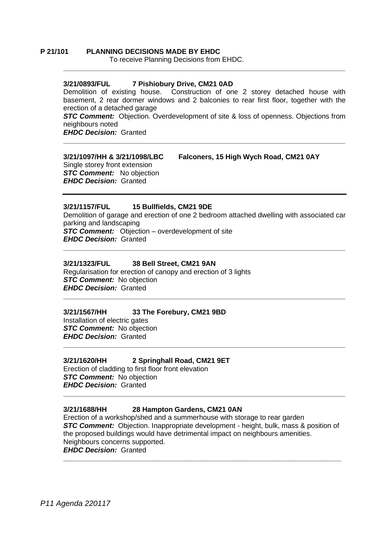### **P 21/101 PLANNING DECISIONS MADE BY EHDC**

To receive Planning Decisions from EHDC.

### **3/21/0893/FUL 7 Pishiobury Drive, CM21 0AD**

Demolition of existing house. Construction of one 2 storey detached house with basement, 2 rear dormer windows and 2 balconies to rear first floor, together with the erection of a detached garage

**\_\_\_\_\_\_\_\_\_\_\_\_\_\_\_\_\_\_\_\_\_\_\_\_\_\_\_\_\_\_\_\_\_\_\_\_\_\_\_\_\_\_\_\_\_\_\_\_\_\_\_\_\_\_\_\_\_\_\_\_\_\_\_\_\_\_\_\_\_\_\_\_**

**STC Comment:** Objection. Overdevelopment of site & loss of openness. Objections from neighbours noted

**\_\_\_\_\_\_\_\_\_\_\_\_\_\_\_\_\_\_\_\_\_\_\_\_\_\_\_\_\_\_\_\_\_\_\_\_\_\_\_\_\_\_\_\_\_\_\_\_\_\_\_\_\_\_\_\_\_\_\_\_\_\_\_\_\_\_\_\_\_\_\_\_**

*EHDC Decision:* Granted

**3/21/1097/HH & 3/21/1098/LBC Falconers, 15 High Wych Road, CM21 0AY** 

Single storey front extension *STC Comment:* No objection *EHDC Decision:* Granted

### **3/21/1157/FUL 15 Bullfields, CM21 9DE**

Demolition of garage and erection of one 2 bedroom attached dwelling with associated car parking and landscaping *STC Comment:* Objection – overdevelopment of site *EHDC Decision:* Granted

**\_\_\_\_\_\_\_\_\_\_\_\_\_\_\_\_\_\_\_\_\_\_\_\_\_\_\_\_\_\_\_\_\_\_\_\_\_\_\_\_\_\_\_\_\_\_\_\_\_\_\_\_\_\_\_\_\_\_\_\_\_\_\_\_\_\_\_\_\_\_\_\_**

**\_\_\_\_\_\_\_\_\_\_\_\_\_\_\_\_\_\_\_\_\_\_\_\_\_\_\_\_\_\_\_\_\_\_\_\_\_\_\_\_\_\_\_\_\_\_\_\_\_\_\_\_\_\_\_\_\_\_\_\_\_\_\_\_\_\_\_\_\_\_\_\_**

**\_\_\_\_\_\_\_\_\_\_\_\_\_\_\_\_\_\_\_\_\_\_\_\_\_\_\_\_\_\_\_\_\_\_\_\_\_\_\_\_\_\_\_\_\_\_\_\_\_\_\_\_\_\_\_\_\_\_\_\_\_\_\_\_\_\_\_\_\_\_\_\_**

### **3/21/1323/FUL 38 Bell Street, CM21 9AN**

Regularisation for erection of canopy and erection of 3 lights *STC Comment:* No objection *EHDC Decision:* Granted

### **3/21/1567/HH 33 The Forebury, CM21 9BD**

Installation of electric gates **STC Comment:** No objection *EHDC Decision:* Granted

### **3/21/1620/HH 2 Springhall Road, CM21 9ET**

Erection of cladding to first floor front elevation *STC Comment:* No objection *EHDC Decision:* Granted

### **3/21/1688/HH 28 Hampton Gardens, CM21 0AN**

Erection of a workshop/shed and a summerhouse with storage to rear garden *STC Comment:* Objection. Inappropriate development - height, bulk, mass & position of the proposed buildings would have detrimental impact on neighbours amenities. Neighbours concerns supported. *EHDC Decision:* Granted

**\_\_\_\_\_\_\_\_\_\_\_\_\_\_\_\_\_\_\_\_\_\_\_\_\_\_\_\_\_\_\_\_\_\_\_\_\_\_\_\_\_\_\_\_\_\_\_\_\_\_\_\_\_\_\_\_\_\_\_\_\_\_\_\_\_\_\_\_\_\_\_**

**\_\_\_\_\_\_\_\_\_\_\_\_\_\_\_\_\_\_\_\_\_\_\_\_\_\_\_\_\_\_\_\_\_\_\_\_\_\_\_\_\_\_\_\_\_\_\_\_\_\_\_\_\_\_\_\_\_\_\_\_\_\_\_\_\_\_\_\_\_\_\_\_**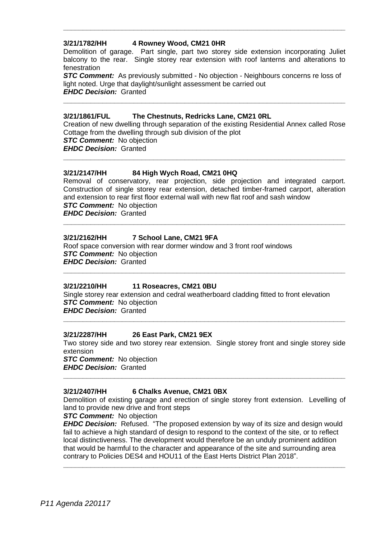### **3/21/1782/HH 4 Rowney Wood, CM21 0HR**

Demolition of garage. Part single, part two storey side extension incorporating Juliet balcony to the rear. Single storey rear extension with roof lanterns and alterations to fenestration

**\_\_\_\_\_\_\_\_\_\_\_\_\_\_\_\_\_\_\_\_\_\_\_\_\_\_\_\_\_\_\_\_\_\_\_\_\_\_\_\_\_\_\_\_\_\_\_\_\_\_\_\_\_\_\_\_\_\_\_\_\_\_\_\_\_\_\_\_\_\_\_\_**

**STC Comment:** As previously submitted - No objection - Neighbours concerns re loss of light noted. Urge that daylight/sunlight assessment be carried out *EHDC Decision:* Granted

**\_\_\_\_\_\_\_\_\_\_\_\_\_\_\_\_\_\_\_\_\_\_\_\_\_\_\_\_\_\_\_\_\_\_\_\_\_\_\_\_\_\_\_\_\_\_\_\_\_\_\_\_\_\_\_\_\_\_\_\_\_\_\_\_\_\_\_\_\_\_\_\_**

### **3/21/1861/FUL The Chestnuts, Redricks Lane, CM21 0RL**

Creation of new dwelling through separation of the existing Residential Annex called Rose Cottage from the dwelling through sub division of the plot **STC Comment:** No objection *EHDC Decision:* Granted

**\_\_\_\_\_\_\_\_\_\_\_\_\_\_\_\_\_\_\_\_\_\_\_\_\_\_\_\_\_\_\_\_\_\_\_\_\_\_\_\_\_\_\_\_\_\_\_\_\_\_\_\_\_\_\_\_\_\_\_\_\_\_\_\_\_\_\_\_\_\_\_\_**

### **3/21/2147/HH 84 High Wych Road, CM21 0HQ**

Removal of conservatory, rear projection, side projection and integrated carport. Construction of single storey rear extension, detached timber-framed carport, alteration and extension to rear first floor external wall with new flat roof and sash window **STC Comment:** No objection

**\_\_\_\_\_\_\_\_\_\_\_\_\_\_\_\_\_\_\_\_\_\_\_\_\_\_\_\_\_\_\_\_\_\_\_\_\_\_\_\_\_\_\_\_\_\_\_\_\_\_\_\_\_\_\_\_\_\_\_\_\_\_\_\_\_\_\_\_\_\_\_\_**

**\_\_\_\_\_\_\_\_\_\_\_\_\_\_\_\_\_\_\_\_\_\_\_\_\_\_\_\_\_\_\_\_\_\_\_\_\_\_\_\_\_\_\_\_\_\_\_\_\_\_\_\_\_\_\_\_\_\_\_\_\_\_\_\_\_\_\_\_\_\_\_\_**

*EHDC Decision:* Granted

### **3/21/2162/HH 7 School Lane, CM21 9FA**

Roof space conversion with rear dormer window and 3 front roof windows *STC Comment:* No objection *EHDC Decision:* Granted

### **3/21/2210/HH 11 Roseacres, CM21 0BU**

Single storey rear extension and cedral weatherboard cladding fitted to front elevation *STC Comment:* No objection *EHDC Decision:* Granted

### **3/21/2287/HH 26 East Park, CM21 9EX**

Two storey side and two storey rear extension. Single storey front and single storey side extension *STC Comment:* No objection

**\_\_\_\_\_\_\_\_\_\_\_\_\_\_\_\_\_\_\_\_\_\_\_\_\_\_\_\_\_\_\_\_\_\_\_\_\_\_\_\_\_\_\_\_\_\_\_\_\_\_\_\_\_\_\_\_\_\_\_\_\_\_\_\_\_\_\_\_\_\_\_\_**

**\_\_\_\_\_\_\_\_\_\_\_\_\_\_\_\_\_\_\_\_\_\_\_\_\_\_\_\_\_\_\_\_\_\_\_\_\_\_\_\_\_\_\_\_\_\_\_\_\_\_\_\_\_\_\_\_\_\_\_\_\_\_\_\_\_\_\_\_\_\_\_\_**

*EHDC Decision:* Granted

### **3/21/2407/HH 6 Chalks Avenue, CM21 0BX**

Demolition of existing garage and erection of single storey front extension. Levelling of land to provide new drive and front steps

### *STC Comment:* No objection

*EHDC Decision:* Refused. "The proposed extension by way of its size and design would fail to achieve a high standard of design to respond to the context of the site, or to reflect local distinctiveness. The development would therefore be an unduly prominent addition that would be harmful to the character and appearance of the site and surrounding area contrary to Policies DES4 and HOU11 of the East Herts District Plan 2018".

**\_\_\_\_\_\_\_\_\_\_\_\_\_\_\_\_\_\_\_\_\_\_\_\_\_\_\_\_\_\_\_\_\_\_\_\_\_\_\_\_\_\_\_\_\_\_\_\_\_\_\_\_\_\_\_\_\_\_\_\_\_\_\_\_\_\_\_\_\_\_\_\_**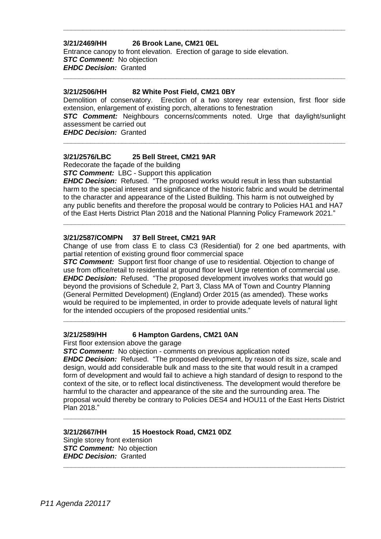### **3/21/2469/HH 26 Brook Lane, CM21 0EL**

Entrance canopy to front elevation. Erection of garage to side elevation. *STC Comment:* No objection *EHDC Decision:* Granted

### **3/21/2506/HH 82 White Post Field, CM21 0BY**

Demolition of conservatory. Erection of a two storey rear extension, first floor side extension, enlargement of existing porch, alterations to fenestration

**\_\_\_\_\_\_\_\_\_\_\_\_\_\_\_\_\_\_\_\_\_\_\_\_\_\_\_\_\_\_\_\_\_\_\_\_\_\_\_\_\_\_\_\_\_\_\_\_\_\_\_\_\_\_\_\_\_\_\_\_\_\_\_\_\_\_\_\_\_\_\_\_**

**\_\_\_\_\_\_\_\_\_\_\_\_\_\_\_\_\_\_\_\_\_\_\_\_\_\_\_\_\_\_\_\_\_\_\_\_\_\_\_\_\_\_\_\_\_\_\_\_\_\_\_\_\_\_\_\_\_\_\_\_\_\_\_\_\_\_\_\_\_\_\_\_**

*STC Comment:* Neighbours concerns/comments noted. Urge that daylight/sunlight assessment be carried out

**\_\_\_\_\_\_\_\_\_\_\_\_\_\_\_\_\_\_\_\_\_\_\_\_\_\_\_\_\_\_\_\_\_\_\_\_\_\_\_\_\_\_\_\_\_\_\_\_\_\_\_\_\_\_\_\_\_\_\_\_\_\_\_\_\_\_\_\_\_\_\_\_**

*EHDC Decision:* Granted

### **3/21/2576/LBC 25 Bell Street, CM21 9AR**

Redecorate the façade of the building

**STC Comment:** LBC - Support this application

*EHDC Decision:* Refused. "The proposed works would result in less than substantial harm to the special interest and significance of the historic fabric and would be detrimental to the character and appearance of the Listed Building. This harm is not outweighed by any public benefits and therefore the proposal would be contrary to Policies HA1 and HA7 of the East Herts District Plan 2018 and the National Planning Policy Framework 2021."

**\_\_\_\_\_\_\_\_\_\_\_\_\_\_\_\_\_\_\_\_\_\_\_\_\_\_\_\_\_\_\_\_\_\_\_\_\_\_\_\_\_\_\_\_\_\_\_\_\_\_\_\_\_\_\_\_\_\_\_\_\_\_\_\_\_\_\_\_\_\_\_\_**

### **3/21/2587/COMPN 37 Bell Street, CM21 9AR**

Change of use from class E to class C3 (Residential) for 2 one bed apartments, with partial retention of existing ground floor commercial space

**STC Comment:** Support first floor change of use to residential. Objection to change of use from office/retail to residential at ground floor level Urge retention of commercial use. *EHDC Decision:* Refused. "The proposed development involves works that would go beyond the provisions of Schedule 2, Part 3, Class MA of Town and Country Planning (General Permitted Development) (England) Order 2015 (as amended). These works would be required to be implemented, in order to provide adequate levels of natural light for the intended occupiers of the proposed residential units."

**\_\_\_\_\_\_\_\_\_\_\_\_\_\_\_\_\_\_\_\_\_\_\_\_\_\_\_\_\_\_\_\_\_\_\_\_\_\_\_\_\_\_\_\_\_\_\_\_\_\_\_\_\_\_\_\_\_\_\_\_\_\_\_\_\_\_\_\_\_\_\_\_**

### **3/21/2589/HH 6 Hampton Gardens, CM21 0AN**

First floor extension above the garage

**STC Comment:** No objection - comments on previous application noted *EHDC Decision:* Refused. "The proposed development, by reason of its size, scale and design, would add considerable bulk and mass to the site that would result in a cramped form of development and would fail to achieve a high standard of design to respond to the context of the site, or to reflect local distinctiveness. The development would therefore be harmful to the character and appearance of the site and the surrounding area. The proposal would thereby be contrary to Policies DES4 and HOU11 of the East Herts District Plan 2018."

**\_\_\_\_\_\_\_\_\_\_\_\_\_\_\_\_\_\_\_\_\_\_\_\_\_\_\_\_\_\_\_\_\_\_\_\_\_\_\_\_\_\_\_\_\_\_\_\_\_\_\_\_\_\_\_\_\_\_\_\_\_\_\_\_\_\_\_\_\_\_\_\_**

**\_\_\_\_\_\_\_\_\_\_\_\_\_\_\_\_\_\_\_\_\_\_\_\_\_\_\_\_\_\_\_\_\_\_\_\_\_\_\_\_\_\_\_\_\_\_\_\_\_\_\_\_\_\_\_\_\_\_\_\_\_\_\_\_\_\_\_\_\_\_\_\_**

### **3/21/2667/HH 15 Hoestock Road, CM21 0DZ** Single storey front extension *STC Comment:* No objection *EHDC Decision:* Granted